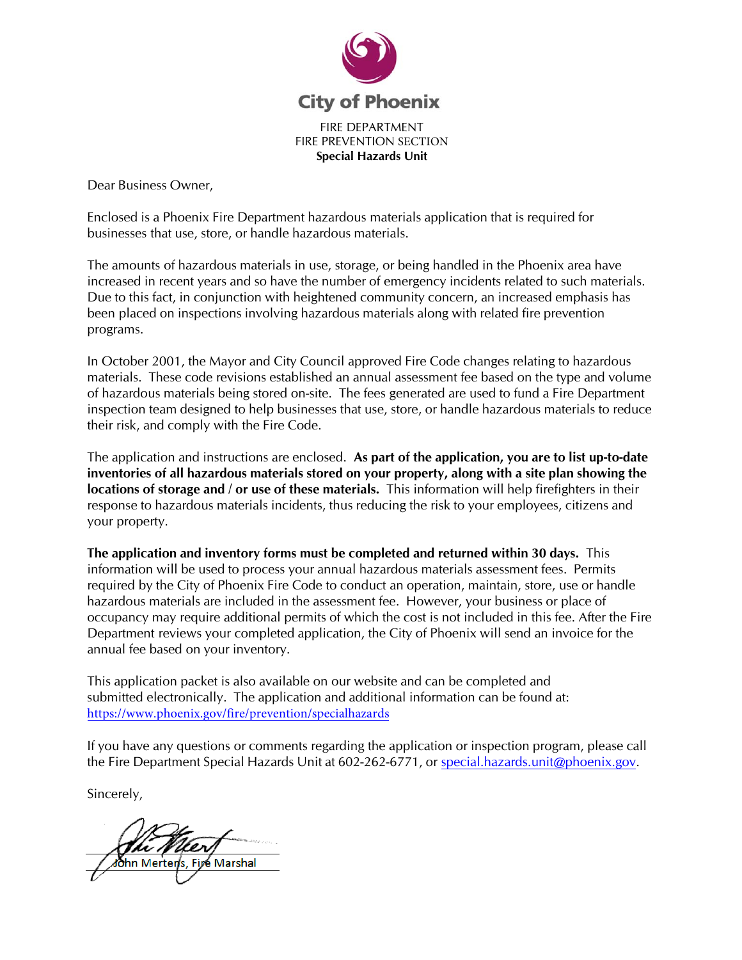

Dear Business Owner,

Enclosed is a Phoenix Fire Department hazardous materials application that is required for businesses that use, store, or handle hazardous materials.

The amounts of hazardous materials in use, storage, or being handled in the Phoenix area have increased in recent years and so have the number of emergency incidents related to such materials. Due to this fact, in conjunction with heightened community concern, an increased emphasis has been placed on inspections involving hazardous materials along with related fire prevention programs.

In October 2001, the Mayor and City Council approved Fire Code changes relating to hazardous materials. These code revisions established an annual assessment fee based on the type and volume of hazardous materials being stored on-site. The fees generated are used to fund a Fire Department inspection team designed to help businesses that use, store, or handle hazardous materials to reduce their risk, and comply with the Fire Code.

The application and instructions are enclosed. **As part of the application, you are to list up-to-date inventories of all hazardous materials stored on your property, along with a site plan showing the locations of storage and / or use of these materials.** This information will help firefighters in their response to hazardous materials incidents, thus reducing the risk to your employees, citizens and your property.

**The application and inventory forms must be completed and returned within 30 days.** This information will be used to process your annual hazardous materials assessment fees. Permits required by the City of Phoenix Fire Code to conduct an operation, maintain, store, use or handle hazardous materials are included in the assessment fee. However, your business or place of occupancy may require additional permits of which the cost is not included in this fee. After the Fire Department reviews your completed application, the City of Phoenix will send an invoice for the annual fee based on your inventory.

This application packet is also available on our website and can be completed and submitted electronically. The application and additional information can be found at: https://www.phoenix.gov/fire/prevention/specialhazards

If you have any questions or comments regarding the application or inspection program, please call the Fire Department Special Hazards Unit at 602-262-6771, or special.hazards.unit@phoenix.gov.

Sincerely,

hn Merten's. Firé Marshal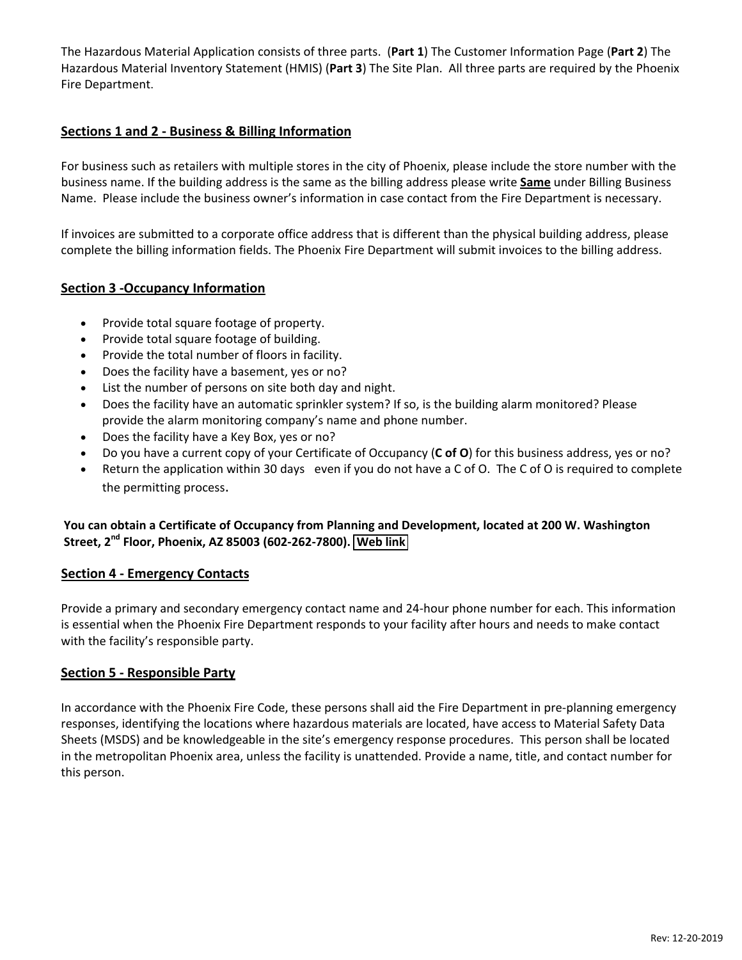The Hazardous Material Application consists of three parts. (**Part 1**) The Customer Information Page (**Part 2**) The Hazardous Material Inventory Statement (HMIS) (**Part 3**) The Site Plan. All three parts are required by the Phoenix Fire Department.

### **Sections 1 and 2 ‐ Business & Billing Information**

For business such as retailers with multiple stores in the city of Phoenix, please include the store number with the business name. If the building address is the same as the billing address please write **Same** under Billing Business Name. Please include the business owner's information in case contact from the Fire Department is necessary.

If invoices are submitted to a corporate office address that is different than the physical building address, please complete the billing information fields. The Phoenix Fire Department will submit invoices to the billing address.

### **Section 3 ‐Occupancy Information**

- Provide total square footage of property.
- Provide total square footage of building.
- Provide the total number of floors in facility.
- Does the facility have a basement, yes or no?
- List the number of persons on site both day and night.
- Does the facility have an automatic sprinkler system? If so, is the building alarm monitored? Please provide the alarm monitoring company's name and phone number.
- Does the facility have a Key Box, yes or no?
- Do you have a current copy of your Certificate of Occupancy (**C of O**) for this business address, yes or no?
- Return the application within 30 days even if you do not have a C of O. The C of O is required to complete the permitting process.

### **You can obtain a Certificate of Occupancy from Planning and Development, located at 200 W. Washington Street, 2 nd Floor, Phoenix, AZ 85003 (602‐262‐7800). [Web link](https://www.phoenix.gov/pdd/topics-a-to-z/certificate-of-occupancy)**

#### **Section 4 ‐ Emergency Contacts**

Provide a primary and secondary emergency contact name and 24‐hour phone number for each. This information is essential when the Phoenix Fire Department responds to your facility after hours and needs to make contact with the facility's responsible party.

#### **Section 5 ‐ Responsible Party**

In accordance with the Phoenix Fire Code, these persons shall aid the Fire Department in pre‐planning emergency responses, identifying the locations where hazardous materials are located, have access to Material Safety Data Sheets (MSDS) and be knowledgeable in the site's emergency response procedures. This person shall be located in the metropolitan Phoenix area, unless the facility is unattended. Provide a name, title, and contact number for this person.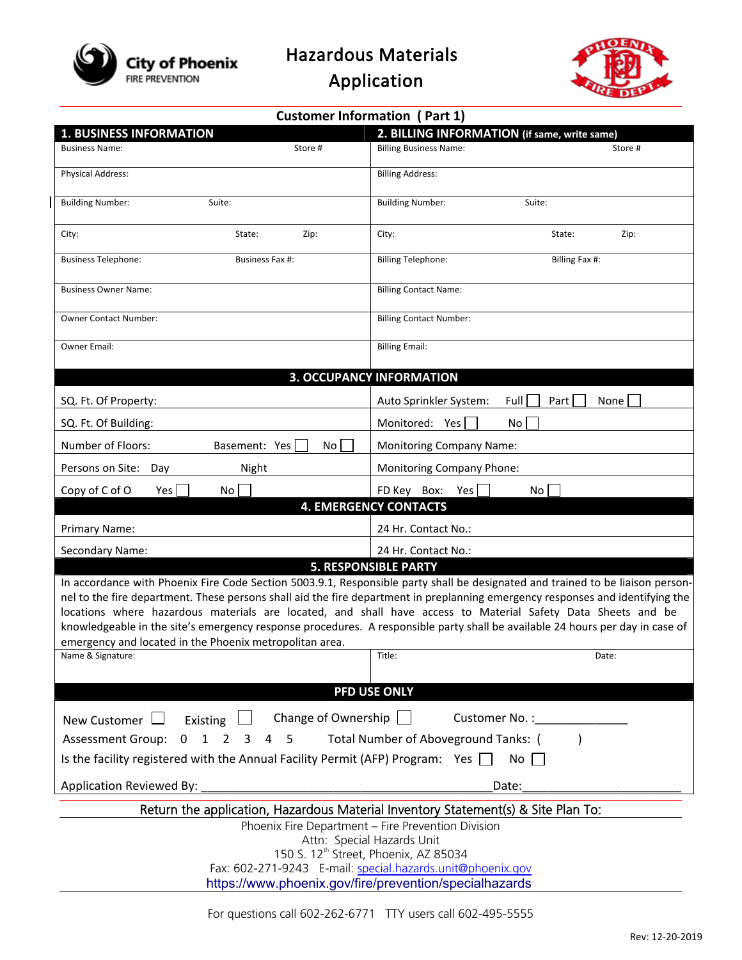

Hazardous Materials

Application



| <b>Customer Information (Part 1)</b>                                                                                                                                                                                                                                                    |                                                                                                                                                                                                                                                                                                                                                                                                                                                                                                                                                  |  |  |  |  |  |  |
|-----------------------------------------------------------------------------------------------------------------------------------------------------------------------------------------------------------------------------------------------------------------------------------------|--------------------------------------------------------------------------------------------------------------------------------------------------------------------------------------------------------------------------------------------------------------------------------------------------------------------------------------------------------------------------------------------------------------------------------------------------------------------------------------------------------------------------------------------------|--|--|--|--|--|--|
| <b>1. BUSINESS INFORMATION</b>                                                                                                                                                                                                                                                          | 2. BILLING INFORMATION (if same, write same)                                                                                                                                                                                                                                                                                                                                                                                                                                                                                                     |  |  |  |  |  |  |
| <b>Business Name:</b><br>Store #                                                                                                                                                                                                                                                        | <b>Billing Business Name:</b><br>Store #                                                                                                                                                                                                                                                                                                                                                                                                                                                                                                         |  |  |  |  |  |  |
| Physical Address:                                                                                                                                                                                                                                                                       | <b>Billing Address:</b>                                                                                                                                                                                                                                                                                                                                                                                                                                                                                                                          |  |  |  |  |  |  |
| <b>Building Number:</b><br>Suite:                                                                                                                                                                                                                                                       | <b>Building Number:</b><br>Suite:                                                                                                                                                                                                                                                                                                                                                                                                                                                                                                                |  |  |  |  |  |  |
| City:<br>State:<br>Zip:                                                                                                                                                                                                                                                                 | City:<br>State:<br>Zip:                                                                                                                                                                                                                                                                                                                                                                                                                                                                                                                          |  |  |  |  |  |  |
| <b>Business Telephone:</b><br>Business Fax #:                                                                                                                                                                                                                                           | <b>Billing Telephone:</b><br>Billing Fax #:                                                                                                                                                                                                                                                                                                                                                                                                                                                                                                      |  |  |  |  |  |  |
| <b>Business Owner Name:</b>                                                                                                                                                                                                                                                             | <b>Billing Contact Name:</b>                                                                                                                                                                                                                                                                                                                                                                                                                                                                                                                     |  |  |  |  |  |  |
| <b>Owner Contact Number:</b>                                                                                                                                                                                                                                                            | <b>Billing Contact Number:</b>                                                                                                                                                                                                                                                                                                                                                                                                                                                                                                                   |  |  |  |  |  |  |
| Owner Email:                                                                                                                                                                                                                                                                            | <b>Billing Email:</b>                                                                                                                                                                                                                                                                                                                                                                                                                                                                                                                            |  |  |  |  |  |  |
|                                                                                                                                                                                                                                                                                         | <b>3. OCCUPANCY INFORMATION</b>                                                                                                                                                                                                                                                                                                                                                                                                                                                                                                                  |  |  |  |  |  |  |
| SQ. Ft. Of Property:                                                                                                                                                                                                                                                                    | Full<br>Auto Sprinkler System:<br>Part  <br>None                                                                                                                                                                                                                                                                                                                                                                                                                                                                                                 |  |  |  |  |  |  |
| SQ. Ft. Of Building:                                                                                                                                                                                                                                                                    | Monitored: Yes<br><b>No</b>                                                                                                                                                                                                                                                                                                                                                                                                                                                                                                                      |  |  |  |  |  |  |
| Number of Floors:<br>Basement: Yes<br>No                                                                                                                                                                                                                                                | <b>Monitoring Company Name:</b>                                                                                                                                                                                                                                                                                                                                                                                                                                                                                                                  |  |  |  |  |  |  |
| Persons on Site:<br>Night<br>Day                                                                                                                                                                                                                                                        | <b>Monitoring Company Phone:</b>                                                                                                                                                                                                                                                                                                                                                                                                                                                                                                                 |  |  |  |  |  |  |
| Copy of C of O<br>Yes<br>No                                                                                                                                                                                                                                                             | FD Key Box: Yes<br>No                                                                                                                                                                                                                                                                                                                                                                                                                                                                                                                            |  |  |  |  |  |  |
|                                                                                                                                                                                                                                                                                         | <b>4. EMERGENCY CONTACTS</b>                                                                                                                                                                                                                                                                                                                                                                                                                                                                                                                     |  |  |  |  |  |  |
| Primary Name:                                                                                                                                                                                                                                                                           | 24 Hr. Contact No.:                                                                                                                                                                                                                                                                                                                                                                                                                                                                                                                              |  |  |  |  |  |  |
| Secondary Name:                                                                                                                                                                                                                                                                         | 24 Hr. Contact No.:                                                                                                                                                                                                                                                                                                                                                                                                                                                                                                                              |  |  |  |  |  |  |
| emergency and located in the Phoenix metropolitan area.                                                                                                                                                                                                                                 | <b>5. RESPONSIBLE PARTY</b><br>In accordance with Phoenix Fire Code Section 5003.9.1, Responsible party shall be designated and trained to be liaison person-<br>nel to the fire department. These persons shall aid the fire department in preplanning emergency responses and identifying the<br>locations where hazardous materials are located, and shall have access to Material Safety Data Sheets and be<br>knowledgeable in the site's emergency response procedures. A responsible party shall be available 24 hours per day in case of |  |  |  |  |  |  |
| Name & Signature:                                                                                                                                                                                                                                                                       | Title:<br>Date:                                                                                                                                                                                                                                                                                                                                                                                                                                                                                                                                  |  |  |  |  |  |  |
|                                                                                                                                                                                                                                                                                         | PFD USE ONLY                                                                                                                                                                                                                                                                                                                                                                                                                                                                                                                                     |  |  |  |  |  |  |
| Change of Ownership<br>Customer No.:<br>New Customer  <br>Existing<br><b>Assessment Group:</b><br>$\mathbf{1}$<br>Total Number of Aboveground Tanks: (<br>$\mathbf 0$<br>2<br>4<br>5<br>3<br>Is the facility registered with the Annual Facility Permit (AFP) Program: Yes $\Box$<br>No |                                                                                                                                                                                                                                                                                                                                                                                                                                                                                                                                                  |  |  |  |  |  |  |
| Application Reviewed By:                                                                                                                                                                                                                                                                | Date:                                                                                                                                                                                                                                                                                                                                                                                                                                                                                                                                            |  |  |  |  |  |  |
|                                                                                                                                                                                                                                                                                         | Return the application, Hazardous Material Inventory Statement(s) & Site Plan To:                                                                                                                                                                                                                                                                                                                                                                                                                                                                |  |  |  |  |  |  |
|                                                                                                                                                                                                                                                                                         | Phoenix Fire Department - Fire Prevention Division<br>Attn: Special Hazards Unit<br>150 S. 12 <sup>th</sup> Street, Phoenix, AZ 85034<br>Fax: 602-271-9243 E-mail: special.hazards.unit@phoenix.gov                                                                                                                                                                                                                                                                                                                                              |  |  |  |  |  |  |
|                                                                                                                                                                                                                                                                                         | https://www.phoenix.gov/fire/prevention/specialhazards                                                                                                                                                                                                                                                                                                                                                                                                                                                                                           |  |  |  |  |  |  |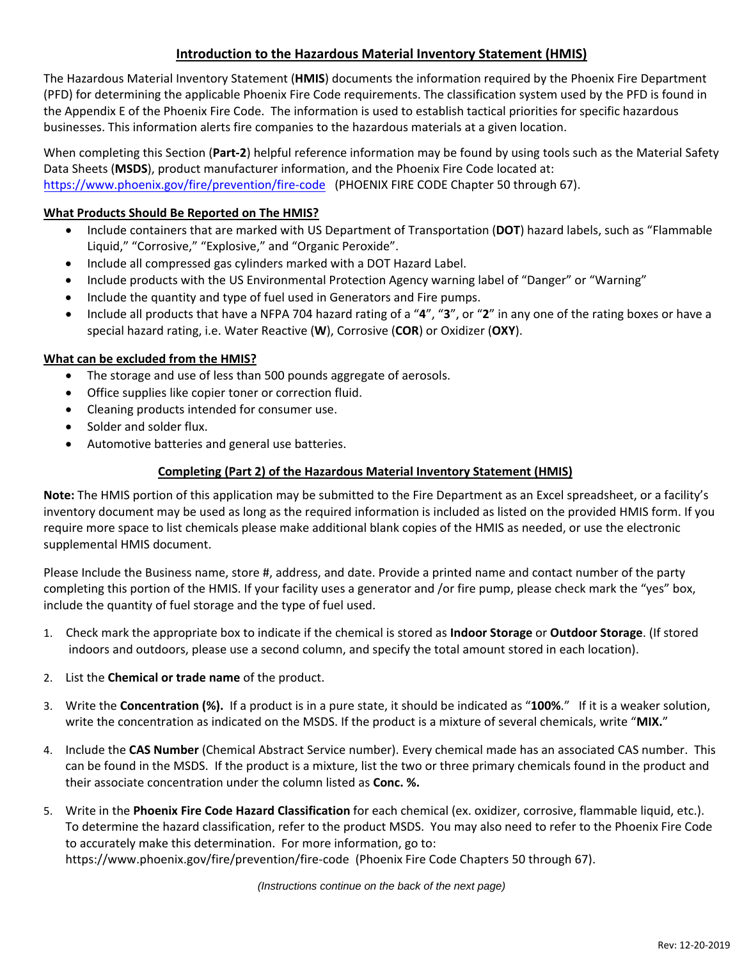## **Introduction to the Hazardous Material Inventory Statement (HMIS)**

The Hazardous Material Inventory Statement (**HMIS**) documents the information required by the Phoenix Fire Department (PFD) for determining the applicable Phoenix Fire Code requirements. The classification system used by the PFD is found in the Appendix E of the Phoenix Fire Code. The information is used to establish tactical priorities for specific hazardous businesses. This information alerts fire companies to the hazardous materials at a given location.

When completing this Section (**Part‐2**) helpful reference information may be found by using tools such as the Material Safety Data Sheets (**MSDS**), product manufacturer information, and the Phoenix Fire Code located at: https://www.phoenix.gov/fire/prevention/fire-code (PHOENIX FIRE CODE Chapter 50 through 67).

### **What Products Should Be Reported on The HMIS?**

- Include containers that are marked with US Department of Transportation (**DOT**) hazard labels, such as "Flammable Liquid," "Corrosive," "Explosive," and "Organic Peroxide".
- Include all compressed gas cylinders marked with a DOT Hazard Label.
- Include products with the US Environmental Protection Agency warning label of "Danger" or "Warning"
- Include the quantity and type of fuel used in Generators and Fire pumps.
- Include all products that have a NFPA 704 hazard rating of a "**4**", "**3**", or "**2**" in any one of the rating boxes or have a special hazard rating, i.e. Water Reactive (**W**), Corrosive (**COR**) or Oxidizer (**OXY**).

#### **What can be excluded from the HMIS?**

- The storage and use of less than 500 pounds aggregate of aerosols.
- Office supplies like copier toner or correction fluid.
- Cleaning products intended for consumer use.
- Solder and solder flux.
- Automotive batteries and general use batteries.

#### **Completing (Part 2) of the Hazardous Material Inventory Statement (HMIS)**

**Note:** The HMIS portion of this application may be submitted to the Fire Department as an Excel spreadsheet, or a facility's inventory document may be used as long as the required information is included as listed on the provided HMIS form. If you require more space to list chemicals please make additional blank copies of the HMIS as needed, or use the electronic supplemental HMIS document.

Please Include the Business name, store #, address, and date. Provide a printed name and contact number of the party completing this portion of the HMIS. If your facility uses a generator and /or fire pump, please check mark the "yes" box, include the quantity of fuel storage and the type of fuel used.

- 1. Check mark the appropriate box to indicate if the chemical is stored as **Indoor Storage** or **Outdoor Storage**. (If stored indoors and outdoors, please use a second column, and specify the total amount stored in each location).
- 2. List the **Chemical or trade name** of the product.
- 3. Write the **Concentration (%).** If a product is in a pure state, it should be indicated as "**100%**." If it is a weaker solution, write the concentration as indicated on the MSDS. If the product is a mixture of several chemicals, write "**MIX.**"
- 4. Include the **CAS Number** (Chemical Abstract Service number). Every chemical made has an associated CAS number. This can be found in the MSDS. If the product is a mixture, list the two or three primary chemicals found in the product and their associate concentration under the column listed as **Conc. %.**
- 5. Write in the **Phoenix Fire Code Hazard Classification** for each chemical (ex. oxidizer, corrosive, flammable liquid, etc.). To determine the hazard classification, refer to the product MSDS. You may also need to refer to the Phoenix Fire Code to accurately make this determination. For more information, go to: https://www.phoenix.gov/fire/prevention/fire-code (Phoenix Fire Code Chapters 50 through 67).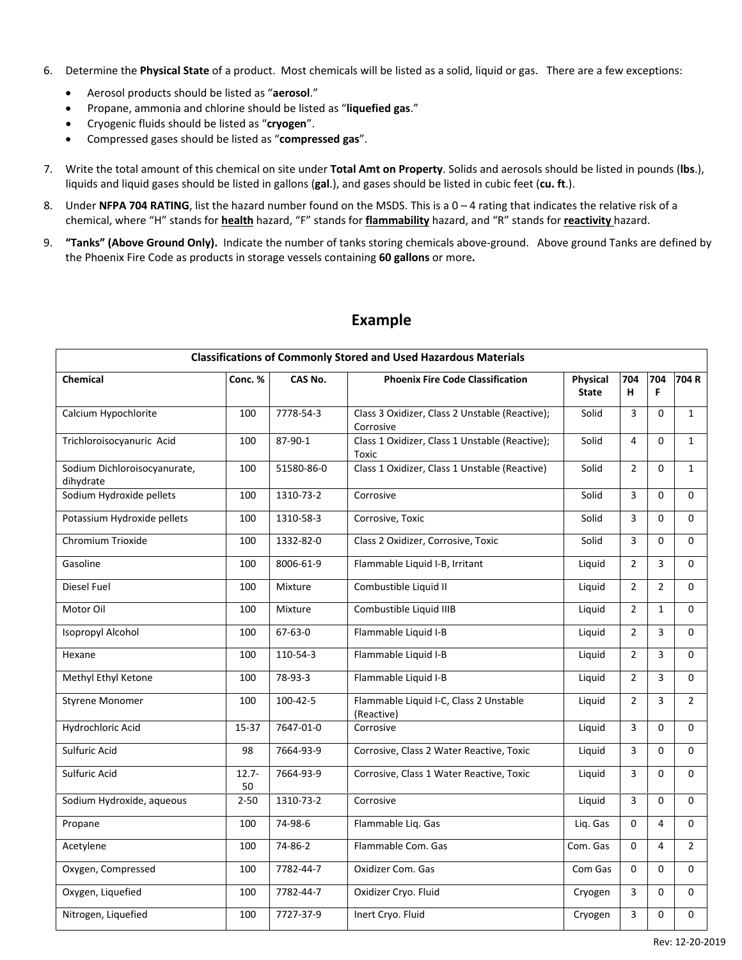- 6. Determine the **Physical State** of a product. Most chemicals will be listed as a solid, liquid or gas. There are a few exceptions:
	- Aerosol products should be listed as "**aerosol**."
	- Propane, ammonia and chlorine should be listed as "**liquefied gas**."
	- Cryogenic fluids should be listed as "**cryogen**".
	- Compressed gases should be listed as "**compressed gas**".
- 7. Write the total amount of this chemical on site under **Total Amt on Property**. Solids and aerosols should be listed in pounds (**lbs**.), liquids and liquid gases should be listed in gallons (**gal**.), and gases should be listed in cubic feet (**cu. ft**.).
- 8. Under **NFPA 704 RATING**, list the hazard number found on the MSDS. This is a 0 4 rating that indicates the relative risk of a chemical, where "H" stands for **health** hazard, "F" stands for **flammability** hazard, and "R" stands for **reactivity** hazard.
- 9. **"Tanks" (Above Ground Only).** Indicate the number of tanks storing chemicals above‐ground. Above ground Tanks are defined by the Phoenix Fire Code as products in storage vessels containing **60 gallons** or more**.**

| <b>Classifications of Commonly Stored and Used Hazardous Materials</b> |                |               |                                                             |                          |                |                |                |  |  |
|------------------------------------------------------------------------|----------------|---------------|-------------------------------------------------------------|--------------------------|----------------|----------------|----------------|--|--|
| Chemical                                                               | Conc. %        | CAS No.       | <b>Phoenix Fire Code Classification</b>                     | Physical<br><b>State</b> | 704<br>н       | 704<br>F.      | 704 R          |  |  |
| Calcium Hypochlorite                                                   | 100            | 7778-54-3     | Class 3 Oxidizer, Class 2 Unstable (Reactive);<br>Corrosive | Solid                    | $\overline{3}$ | $\Omega$       | $\mathbf{1}$   |  |  |
| Trichloroisocyanuric Acid                                              | 100            | 87-90-1       | Class 1 Oxidizer, Class 1 Unstable (Reactive);<br>Toxic     | Solid                    | 4              | $\Omega$       | $\mathbf{1}$   |  |  |
| Sodium Dichloroisocyanurate,<br>dihydrate                              | 100            | 51580-86-0    | Class 1 Oxidizer, Class 1 Unstable (Reactive)               | Solid                    | $\overline{2}$ | 0              | $\mathbf{1}$   |  |  |
| Sodium Hydroxide pellets                                               | 100            | 1310-73-2     | Corrosive                                                   | Solid                    | 3              | $\Omega$       | $\Omega$       |  |  |
| Potassium Hydroxide pellets                                            | 100            | 1310-58-3     | Corrosive, Toxic                                            | Solid                    | 3              | 0              | $\mathbf 0$    |  |  |
| Chromium Trioxide                                                      | 100            | 1332-82-0     | Class 2 Oxidizer, Corrosive, Toxic                          | Solid                    | $\overline{3}$ | $\Omega$       | $\Omega$       |  |  |
| Gasoline                                                               | 100            | 8006-61-9     | Flammable Liquid I-B, Irritant                              | Liquid                   | $\overline{2}$ | $\overline{3}$ | $\mathbf 0$    |  |  |
| Diesel Fuel                                                            | 100            | Mixture       | Combustible Liquid II                                       | Liquid                   | $\overline{2}$ | $\overline{2}$ | $\Omega$       |  |  |
| Motor Oil                                                              | 100            | Mixture       | Combustible Liquid IIIB                                     | Liquid                   | $\overline{2}$ | $\mathbf{1}$   | $\mathbf 0$    |  |  |
| Isopropyl Alcohol                                                      | 100            | $67 - 63 - 0$ | Flammable Liquid I-B                                        | Liquid                   | $\overline{2}$ | 3              | $\Omega$       |  |  |
| Hexane                                                                 | 100            | 110-54-3      | Flammable Liquid I-B                                        | Liquid                   | $\overline{2}$ | 3              | $\mathbf 0$    |  |  |
| Methyl Ethyl Ketone                                                    | 100            | 78-93-3       | Flammable Liquid I-B                                        | Liquid                   | $\overline{2}$ | 3              | $\Omega$       |  |  |
| Styrene Monomer                                                        | 100            | 100-42-5      | Flammable Liquid I-C, Class 2 Unstable<br>(Reactive)        | Liquid                   | $\overline{2}$ | 3              | $\overline{2}$ |  |  |
| Hydrochloric Acid                                                      | 15-37          | 7647-01-0     | Corrosive                                                   | Liquid                   | $\overline{3}$ | $\Omega$       | $\Omega$       |  |  |
| Sulfuric Acid                                                          | 98             | 7664-93-9     | Corrosive, Class 2 Water Reactive, Toxic                    | Liquid                   | 3              | 0              | $\mathbf 0$    |  |  |
| Sulfuric Acid                                                          | $12.7 -$<br>50 | 7664-93-9     | Corrosive, Class 1 Water Reactive, Toxic                    | Liquid                   | $\overline{3}$ | $\Omega$       | $\Omega$       |  |  |
| Sodium Hydroxide, aqueous                                              | $2 - 50$       | 1310-73-2     | Corrosive                                                   | Liquid                   | 3              | $\Omega$       | $\Omega$       |  |  |
| Propane                                                                | 100            | 74-98-6       | Flammable Liq. Gas                                          | Lig. Gas                 | $\mathbf 0$    | $\overline{4}$ | $\mathbf 0$    |  |  |
| Acetylene                                                              | 100            | 74-86-2       | Flammable Com. Gas                                          | Com. Gas                 | $\Omega$       | $\overline{4}$ | $\overline{2}$ |  |  |
| Oxygen, Compressed                                                     | 100            | 7782-44-7     | Oxidizer Com. Gas                                           | Com Gas                  | $\mathbf 0$    | $\Omega$       | $\Omega$       |  |  |
| Oxygen, Liquefied                                                      | 100            | 7782-44-7     | Oxidizer Cryo. Fluid                                        | Cryogen                  | 3              | 0              | $\mathbf 0$    |  |  |
| Nitrogen, Liquefied                                                    | 100            | 7727-37-9     | Inert Cryo. Fluid                                           | Cryogen                  | 3              | 0              | 0              |  |  |

# **Example**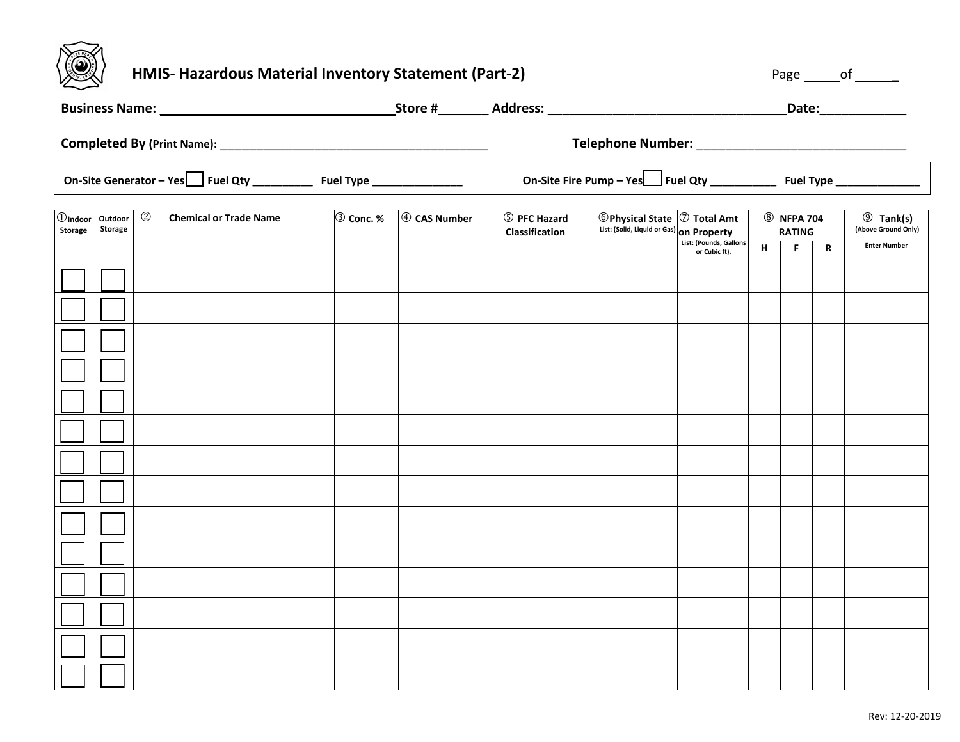

# **HMIS- Hazardous Material Inventory Statement (Part-2) And the statement of the statement of the statement of the statement of the statement of the statement of the statement of the statement of the statement of the statem**

|                              |                    | Business Name: 1988 Manual Manual Manual Manual Manual Manual Manual Manual Manual Manual Manual Manual Manual |           |              |                                                                                                                                                          |  |                                                    |  |  |                                                                | Date:______________ |
|------------------------------|--------------------|----------------------------------------------------------------------------------------------------------------|-----------|--------------|----------------------------------------------------------------------------------------------------------------------------------------------------------|--|----------------------------------------------------|--|--|----------------------------------------------------------------|---------------------|
|                              |                    |                                                                                                                |           |              |                                                                                                                                                          |  |                                                    |  |  |                                                                |                     |
|                              |                    | On-Site Generator - Yes Fuel Qty ______________ Fuel Type _______________                                      |           |              |                                                                                                                                                          |  |                                                    |  |  |                                                                |                     |
| $①$ Indoor<br><b>Storage</b> | Outdoor<br>Storage | $^{\circledR}$<br><b>Chemical or Trade Name</b>                                                                | 3 Conc. % | 4 CAS Number | $\circledR$ Physical State $\circledR$ Total Amt<br>5 PFC Hazard<br>List: (Solid, Liquid or Gas) on Property<br>Classification<br>List: (Pounds, Gallons |  | <b>8</b> NFPA 704<br><b>RATING</b><br>н<br>R<br>F. |  |  | <b>9</b> Tank(s)<br>(Above Ground Only)<br><b>Enter Number</b> |                     |
|                              |                    |                                                                                                                |           |              |                                                                                                                                                          |  | or Cubic ft).                                      |  |  |                                                                |                     |
|                              |                    |                                                                                                                |           |              |                                                                                                                                                          |  |                                                    |  |  |                                                                |                     |
|                              |                    |                                                                                                                |           |              |                                                                                                                                                          |  |                                                    |  |  |                                                                |                     |
|                              |                    |                                                                                                                |           |              |                                                                                                                                                          |  |                                                    |  |  |                                                                |                     |
|                              |                    |                                                                                                                |           |              |                                                                                                                                                          |  |                                                    |  |  |                                                                |                     |
|                              |                    |                                                                                                                |           |              |                                                                                                                                                          |  |                                                    |  |  |                                                                |                     |
|                              |                    |                                                                                                                |           |              |                                                                                                                                                          |  |                                                    |  |  |                                                                |                     |
|                              |                    |                                                                                                                |           |              |                                                                                                                                                          |  |                                                    |  |  |                                                                |                     |
|                              |                    |                                                                                                                |           |              |                                                                                                                                                          |  |                                                    |  |  |                                                                |                     |
|                              |                    |                                                                                                                |           |              |                                                                                                                                                          |  |                                                    |  |  |                                                                |                     |
|                              |                    |                                                                                                                |           |              |                                                                                                                                                          |  |                                                    |  |  |                                                                |                     |
|                              |                    |                                                                                                                |           |              |                                                                                                                                                          |  |                                                    |  |  |                                                                |                     |
|                              |                    |                                                                                                                |           |              |                                                                                                                                                          |  |                                                    |  |  |                                                                |                     |
|                              |                    |                                                                                                                |           |              |                                                                                                                                                          |  |                                                    |  |  |                                                                |                     |
|                              |                    |                                                                                                                |           |              |                                                                                                                                                          |  |                                                    |  |  |                                                                |                     |
|                              |                    |                                                                                                                |           |              |                                                                                                                                                          |  |                                                    |  |  |                                                                |                     |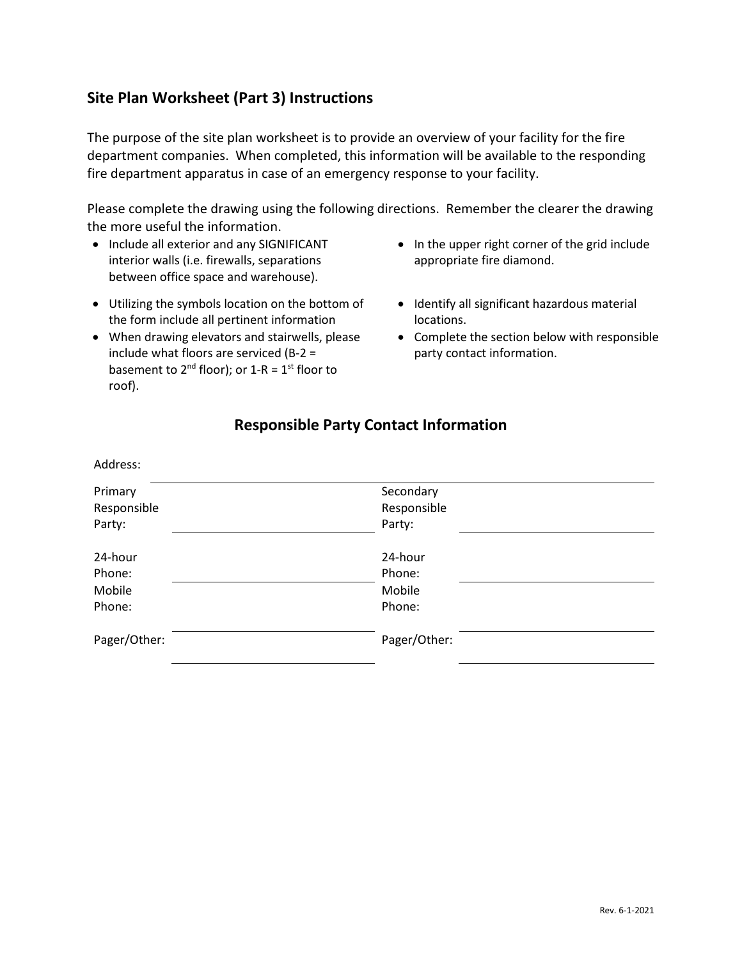# **Site Plan Worksheet (Part 3) Instructions**

The purpose of the site plan worksheet is to provide an overview of your facility for the fire department companies. When completed, this information will be available to the responding fire department apparatus in case of an emergency response to your facility.

Please complete the drawing using the following directions. Remember the clearer the drawing the more useful the information.

- Include all exterior and any SIGNIFICANT interior walls (i.e. firewalls, separations between office space and warehouse).
- Utilizing the symbols location on the bottom of the form include all pertinent information
- When drawing elevators and stairwells, please include what floors are serviced (B-2 = basement to  $2^{nd}$  floor); or  $1-R = 1^{st}$  floor to roof).
- In the upper right corner of the grid include appropriate fire diamond.
- Identify all significant hazardous material locations.
- Complete the section below with responsible party contact information.

# **Responsible Party Contact Information**

Address:

| Primary      | Secondary    |  |
|--------------|--------------|--|
| Responsible  | Responsible  |  |
| Party:       | Party:       |  |
|              |              |  |
| 24-hour      | 24-hour      |  |
| Phone:       | Phone:       |  |
| Mobile       | Mobile       |  |
| Phone:       | Phone:       |  |
|              |              |  |
| Pager/Other: | Pager/Other: |  |
|              |              |  |